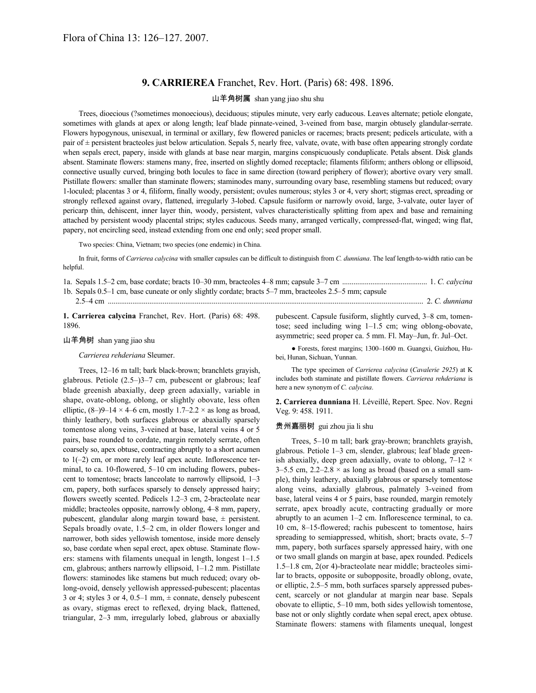## **9. CARRIEREA** Franchet, Rev. Hort. (Paris) 68: 498. 1896.

#### 山羊角树属 shan yang jiao shu shu

Trees, dioecious (?sometimes monoecious), deciduous; stipules minute, very early caducous. Leaves alternate; petiole elongate, sometimes with glands at apex or along length; leaf blade pinnate-veined, 3-veined from base, margin obtusely glandular-serrate. Flowers hypogynous, unisexual, in terminal or axillary, few flowered panicles or racemes; bracts present; pedicels articulate, with a pair of ± persistent bracteoles just below articulation. Sepals 5, nearly free, valvate, ovate, with base often appearing strongly cordate when sepals erect, papery, inside with glands at base near margin, margins conspicuously conduplicate. Petals absent. Disk glands absent. Staminate flowers: stamens many, free, inserted on slightly domed receptacle; filaments filiform; anthers oblong or ellipsoid, connective usually curved, bringing both locules to face in same direction (toward periphery of flower); abortive ovary very small. Pistillate flowers: smaller than staminate flowers; staminodes many, surrounding ovary base, resembling stamens but reduced; ovary 1-loculed; placentas 3 or 4, filiform, finally woody, persistent; ovules numerous; styles 3 or 4, very short; stigmas erect, spreading or strongly reflexed against ovary, flattened, irregularly 3-lobed. Capsule fusiform or narrowly ovoid, large, 3-valvate, outer layer of pericarp thin, dehiscent, inner layer thin, woody, persistent, valves characteristically splitting from apex and base and remaining attached by persistent woody placental strips; styles caducous. Seeds many, arranged vertically, compressed-flat, winged; wing flat, papery, not encircling seed, instead extending from one end only; seed proper small.

Two species: China, Vietnam; two species (one endemic) in China.

In fruit, forms of *Carrierea calycina* with smaller capsules can be difficult to distinguish from *C. dunniana*. The leaf length-to-width ratio can be helpful.

| 1b. Sepals 0.5–1 cm, base cuneate or only slightly cordate; bracts 5–7 mm, bracteoles 2.5–5 mm; capsule          |  |  |
|------------------------------------------------------------------------------------------------------------------|--|--|
|                                                                                                                  |  |  |
| 1. Comparison column Example Dov. Hert. (Dona) 69, 409<br>authorized County Continues of the common 200 am toman |  |  |

**1. Carrierea calycina** Franchet, Rev. Hort. (Paris) 68: 498. 1896.

### 山羊角树 shan yang jiao shu

#### *Carrierea rehderiana* Sleumer.

Trees, 12–16 m tall; bark black-brown; branchlets grayish, glabrous. Petiole (2.5–)3–7 cm, pubescent or glabrous; leaf blade greenish abaxially, deep green adaxially, variable in shape, ovate-oblong, oblong, or slightly obovate, less often elliptic,  $(8-9-14 \times 4-6$  cm, mostly  $1.7-2.2 \times$  as long as broad, thinly leathery, both surfaces glabrous or abaxially sparsely tomentose along veins, 3-veined at base, lateral veins 4 or 5 pairs, base rounded to cordate, margin remotely serrate, often coarsely so, apex obtuse, contracting abruptly to a short acumen to 1(–2) cm, or more rarely leaf apex acute. Inflorescence terminal, to ca. 10-flowered, 5–10 cm including flowers, pubescent to tomentose; bracts lanceolate to narrowly ellipsoid, 1–3 cm, papery, both surfaces sparsely to densely appressed hairy; flowers sweetly scented. Pedicels 1.2–3 cm, 2-bracteolate near middle; bracteoles opposite, narrowly oblong, 4–8 mm, papery, pubescent, glandular along margin toward base, ± persistent. Sepals broadly ovate, 1.5–2 cm, in older flowers longer and narrower, both sides yellowish tomentose, inside more densely so, base cordate when sepal erect, apex obtuse. Staminate flowers: stamens with filaments unequal in length, longest 1–1.5 cm, glabrous; anthers narrowly ellipsoid, 1–1.2 mm. Pistillate flowers: staminodes like stamens but much reduced; ovary oblong-ovoid, densely yellowish appressed-pubescent; placentas 3 or 4; styles 3 or 4, 0.5–1 mm,  $\pm$  connate, densely pubescent as ovary, stigmas erect to reflexed, drying black, flattened, triangular, 2–3 mm, irregularly lobed, glabrous or abaxially

pubescent. Capsule fusiform, slightly curved, 3–8 cm, tomentose; seed including wing 1–1.5 cm; wing oblong-obovate, asymmetric; seed proper ca. 5 mm. Fl. May–Jun, fr. Jul–Oct.

● Forests, forest margins; 1300–1600 m. Guangxi, Guizhou, Hubei, Hunan, Sichuan, Yunnan.

The type specimen of *Carrierea calycina* (*Cavalerie 2925*) at K includes both staminate and pistillate flowers. *Carrierea rehderiana* is here a new synonym of *C. calycina*.

**2. Carrierea dunniana** H. Léveillé, Repert. Spec. Nov. Regni Veg. 9: 458. 1911.

### 贵州嘉丽树 gui zhou jia li shu

Trees, 5–10 m tall; bark gray-brown; branchlets grayish, glabrous. Petiole 1–3 cm, slender, glabrous; leaf blade greenish abaxially, deep green adaxially, ovate to oblong,  $7-12 \times$ 3–5.5 cm,  $2.2$ –2.8  $\times$  as long as broad (based on a small sample), thinly leathery, abaxially glabrous or sparsely tomentose along veins, adaxially glabrous, palmately 3-veined from base, lateral veins 4 or 5 pairs, base rounded, margin remotely serrate, apex broadly acute, contracting gradually or more abruptly to an acumen 1–2 cm. Inflorescence terminal, to ca. 10 cm, 8–15-flowered; rachis pubescent to tomentose, hairs spreading to semiappressed, whitish, short; bracts ovate, 5–7 mm, papery, both surfaces sparsely appressed hairy, with one or two small glands on margin at base, apex rounded. Pedicels 1.5–1.8 cm, 2(or 4)-bracteolate near middle; bracteoles similar to bracts, opposite or subopposite, broadly oblong, ovate, or elliptic, 2.5–5 mm, both surfaces sparsely appressed pubescent, scarcely or not glandular at margin near base. Sepals obovate to elliptic, 5–10 mm, both sides yellowish tomentose, base not or only slightly cordate when sepal erect, apex obtuse. Staminate flowers: stamens with filaments unequal, longest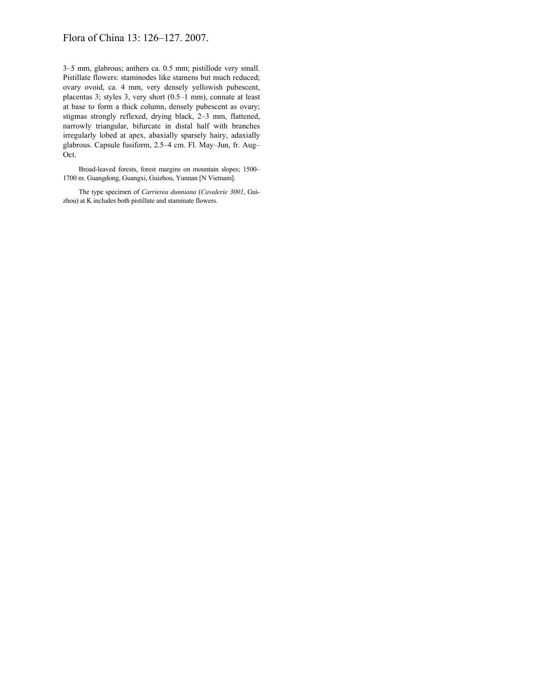# Flora of China 13: 126–127. 2007.

3–5 mm, glabrous; anthers ca. 0.5 mm; pistillode very small. Pistillate flowers: staminodes like stamens but much reduced; ovary ovoid, ca. 4 mm, very densely yellowish pubescent, placentas 3; styles 3, very short (0.5–1 mm), connate at least at base to form a thick column, densely pubescent as ovary; stigmas strongly reflexed, drying black, 2–3 mm, flattened, narrowly triangular, bifurcate in distal half with branches irregularly lobed at apex, abaxially sparsely hairy, adaxially glabrous. Capsule fusiform, 2.5–4 cm. Fl. May–Jun, fr. Aug– Oct.

Broad-leaved forests, forest margins on mountain slopes; 1500– 1700 m. Guangdong, Guangxi, Guizhou, Yunnan [N Vietnam].

The type specimen of *Carrierea dunniana* (*Cavalerie 3001*, Guizhou) at K includes both pistillate and staminate flowers.